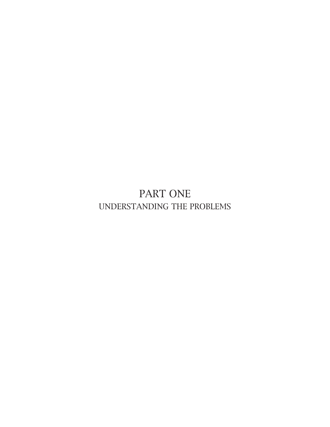PART ONE UNDERSTANDING THE PROBLEMS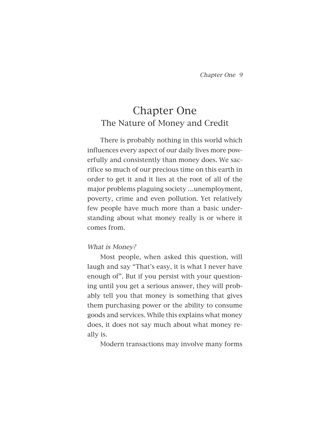# Chapter One The Nature of Money and Credit

There is probably nothing in this world which influences every aspect of our daily lives more powerfully and consistently than money does. We sacrifice so much of our precious time on this earth in order to get it and it lies at the root of all of the major problems plaguing society …unemployment, poverty, crime and even pollution. Yet relatively few people have much more than a basic understanding about what money really is or where it comes from.

# What is Money?

Most people, when asked this question, will laugh and say "That's easy, it is what I never have enough of". But if you persist with your questioning until you get a serious answer, they will probably tell you that money is something that gives them purchasing power or the ability to consume goods and services. While this explains what money does, it does not say much about what money really is.

Modern transactions may involve many forms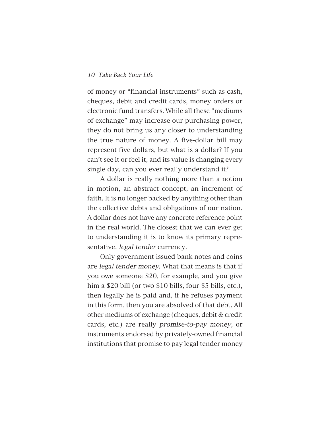of money or "financial instruments" such as cash, cheques, debit and credit cards, money orders or electronic fund transfers. While all these "mediums of exchange" may increase our purchasing power, they do not bring us any closer to understanding the true nature of money. A five-dollar bill may represent five dollars, but what is a dollar? If you can't see it or feel it, and its value is changing every single day, can you ever really understand it?

A dollar is really nothing more than a notion in motion, an abstract concept, an increment of faith. It is no longer backed by anything other than the collective debts and obligations of our nation. A dollar does not have any concrete reference point in the real world. The closest that we can ever get to understanding it is to know its primary representative, legal tender currency.

Only government issued bank notes and coins are legal tender money. What that means is that if you owe someone \$20, for example, and you give him a \$20 bill (or two \$10 bills, four \$5 bills, etc.), then legally he is paid and, if he refuses payment in this form, then you are absolved of that debt. All other mediums of exchange (cheques, debit & credit cards, etc.) are really promise-to-pay money, or instruments endorsed by privately-owned financial institutions that promise to pay legal tender money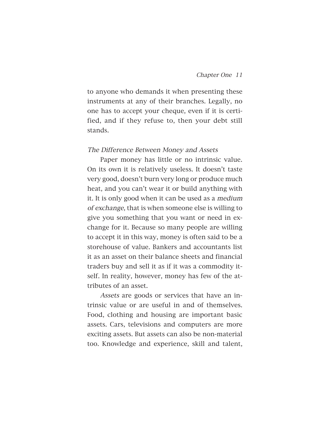to anyone who demands it when presenting these instruments at any of their branches. Legally, no one has to accept your cheque, even if it is certified, and if they refuse to, then your debt still stands.

#### The Difference Between Money and Assets

Paper money has little or no intrinsic value. On its own it is relatively useless. It doesn't taste very good, doesn't burn very long or produce much heat, and you can't wear it or build anything with it. It is only good when it can be used as a medium of exchange, that is when someone else is willing to give you something that you want or need in exchange for it. Because so many people are willing to accept it in this way, money is often said to be a storehouse of value. Bankers and accountants list it as an asset on their balance sheets and financial traders buy and sell it as if it was a commodity itself. In reality, however, money has few of the attributes of an asset.

Assets are goods or services that have an intrinsic value or are useful in and of themselves. Food, clothing and housing are important basic assets. Cars, televisions and computers are more exciting assets. But assets can also be non-material too. Knowledge and experience, skill and talent,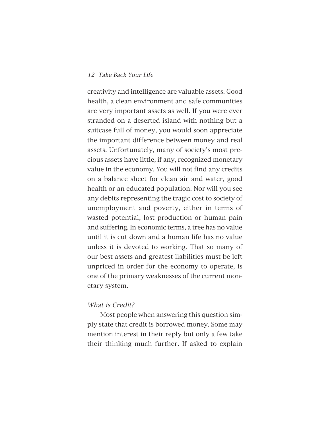creativity and intelligence are valuable assets. Good health, a clean environment and safe communities are very important assets as well. If you were ever stranded on a deserted island with nothing but a suitcase full of money, you would soon appreciate the important difference between money and real assets. Unfortunately, many of society's most precious assets have little, if any, recognized monetary value in the economy. You will not find any credits on a balance sheet for clean air and water, good health or an educated population. Nor will you see any debits representing the tragic cost to society of unemployment and poverty, either in terms of wasted potential, lost production or human pain and suffering. In economic terms, a tree has no value until it is cut down and a human life has no value unless it is devoted to working. That so many of our best assets and greatest liabilities must be left unpriced in order for the economy to operate, is one of the primary weaknesses of the current monetary system.

#### What is Credit?

Most people when answering this question simply state that credit is borrowed money. Some may mention interest in their reply but only a few take their thinking much further. If asked to explain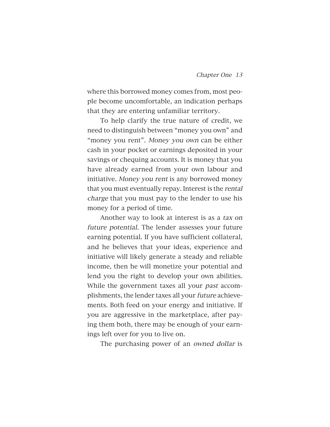where this borrowed money comes from, most people become uncomfortable, an indication perhaps that they are entering unfamiliar territory.

To help clarify the true nature of credit, we need to distinguish between "money you own" and "money you rent". Money you own can be either cash in your pocket or earnings deposited in your savings or chequing accounts. It is money that you have already earned from your own labour and initiative. Money you rent is any borrowed money that you must eventually repay. Interest is the rental charge that you must pay to the lender to use his money for a period of time.

Another way to look at interest is as a tax on future potential. The lender assesses your future earning potential. If you have sufficient collateral, and he believes that your ideas, experience and initiative will likely generate a steady and reliable income, then he will monetize your potential and lend you the right to develop your own abilities. While the government taxes all your past accomplishments, the lender taxes all your future achievements. Both feed on your energy and initiative. If you are aggressive in the marketplace, after paying them both, there may be enough of your earnings left over for you to live on.

The purchasing power of an owned dollar is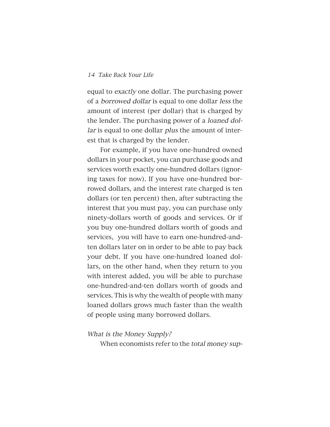equal to exactly one dollar. The purchasing power of a borrowed dollar is equal to one dollar less the amount of interest (per dollar) that is charged by the lender. The purchasing power of a loaned dollar is equal to one dollar *plus* the amount of interest that is charged by the lender.

For example, if you have one-hundred owned dollars in your pocket, you can purchase goods and services worth exactly one-hundred dollars (ignoring taxes for now). If you have one-hundred borrowed dollars, and the interest rate charged is ten dollars (or ten percent) then, after subtracting the interest that you must pay, you can purchase only ninety-dollars worth of goods and services. Or if you buy one-hundred dollars worth of goods and services, you will have to earn one-hundred-andten dollars later on in order to be able to pay back your debt. If you have one-hundred loaned dollars, on the other hand, when they return to you with interest added, you will be able to purchase one-hundred-and-ten dollars worth of goods and services. This is why the wealth of people with many loaned dollars grows much faster than the wealth of people using many borrowed dollars.

#### What is the Money Supply?

When economists refer to the total money sup-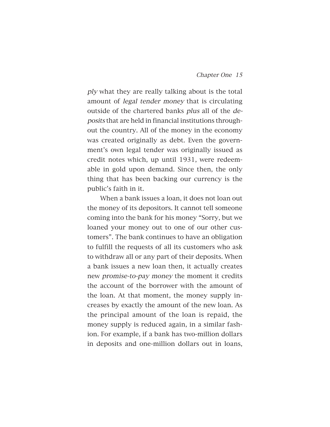ply what they are really talking about is the total amount of legal tender money that is circulating outside of the chartered banks plus all of the deposits that are held in financial institutions throughout the country. All of the money in the economy was created originally as debt. Even the government's own legal tender was originally issued as credit notes which, up until 1931, were redeemable in gold upon demand. Since then, the only thing that has been backing our currency is the public's faith in it.

When a bank issues a loan, it does not loan out the money of its depositors. It cannot tell someone coming into the bank for his money "Sorry, but we loaned your money out to one of our other customers". The bank continues to have an obligation to fulfill the requests of all its customers who ask to withdraw all or any part of their deposits. When a bank issues a new loan then, it actually creates new promise-to-pay money the moment it credits the account of the borrower with the amount of the loan. At that moment, the money supply increases by exactly the amount of the new loan. As the principal amount of the loan is repaid, the money supply is reduced again, in a similar fashion. For example, if a bank has two-million dollars in deposits and one-million dollars out in loans,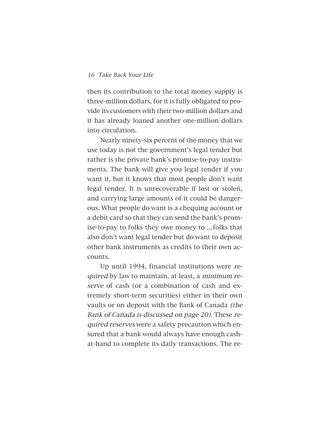then its contribution to the total money supply is three-million dollars, for it is fully obligated to provide its customers with their two-million dollars and it has already loaned another one-million dollars into circulation.

Nearly ninety-six percent of the money that we use today is not the government's legal tender but rather is the private bank's promise-to-pay instruments. The bank will give you legal tender if you want it, but it knows that most people don't want legal tender. It is unrecoverable if lost or stolen, and carrying large amounts of it could be dangerous. What people do want is a chequing account or a debit card so that they can send the bank's promise-to-pay to folks they owe money to …folks that also don't want legal tender but do want to deposit other bank instruments as credits to their own accounts.

Up until 1994, financial institutions were required by law to maintain, at least, a minimum reserve of cash (or a combination of cash and extremely short-term securities) either in their own vaults or on deposit with the Bank of Canada (the Bank of Canada is discussed on page 20). These required reserves were a safety precaution which ensured that a bank would always have enough cashat-hand to complete its daily transactions. The re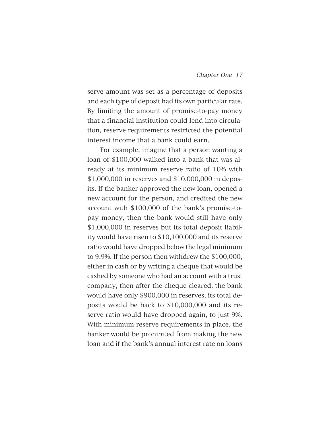serve amount was set as a percentage of deposits and each type of deposit had its own particular rate. By limiting the amount of promise-to-pay money that a financial institution could lend into circulation, reserve requirements restricted the potential interest income that a bank could earn.

For example, imagine that a person wanting a loan of \$100,000 walked into a bank that was already at its minimum reserve ratio of 10% with \$1,000,000 in reserves and \$10,000,000 in deposits. If the banker approved the new loan, opened a new account for the person, and credited the new account with \$100,000 of the bank's promise-topay money, then the bank would still have only \$1,000,000 in reserves but its total deposit liability would have risen to \$10,100,000 and its reserve ratio would have dropped below the legal minimum to 9.9%. If the person then withdrew the \$100,000, either in cash or by writing a cheque that would be cashed by someone who had an account with a trust company, then after the cheque cleared, the bank would have only \$900,000 in reserves, its total deposits would be back to \$10,000,000 and its reserve ratio would have dropped again, to just 9%. With minimum reserve requirements in place, the banker would be prohibited from making the new loan and if the bank's annual interest rate on loans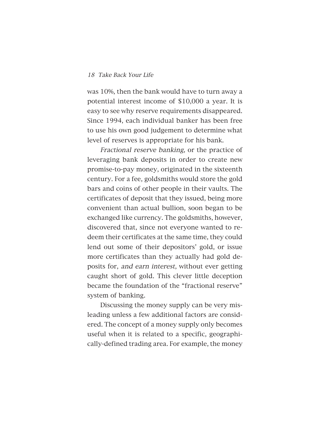was 10%, then the bank would have to turn away a potential interest income of \$10,000 a year. It is easy to see why reserve requirements disappeared. Since 1994, each individual banker has been free to use his own good judgement to determine what level of reserves is appropriate for his bank.

Fractional reserve banking, or the practice of leveraging bank deposits in order to create new promise-to-pay money, originated in the sixteenth century. For a fee, goldsmiths would store the gold bars and coins of other people in their vaults. The certificates of deposit that they issued, being more convenient than actual bullion, soon began to be exchanged like currency. The goldsmiths, however, discovered that, since not everyone wanted to redeem their certificates at the same time, they could lend out some of their depositors' gold, or issue more certificates than they actually had gold deposits for, and earn interest, without ever getting caught short of gold. This clever little deception became the foundation of the "fractional reserve" system of banking.

Discussing the money supply can be very misleading unless a few additional factors are considered. The concept of a money supply only becomes useful when it is related to a specific, geographically-defined trading area. For example, the money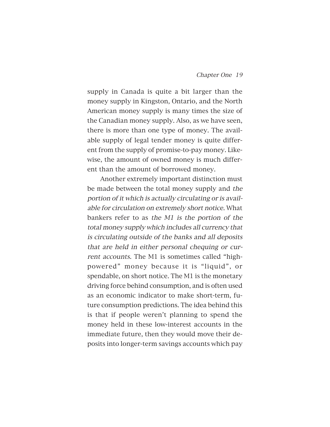supply in Canada is quite a bit larger than the money supply in Kingston, Ontario, and the North American money supply is many times the size of the Canadian money supply. Also, as we have seen, there is more than one type of money. The available supply of legal tender money is quite different from the supply of promise-to-pay money. Likewise, the amount of owned money is much different than the amount of borrowed money.

Another extremely important distinction must be made between the total money supply and the portion of it which is actually circulating or is available for circulation on extremely short notice. What bankers refer to as the M1 is the portion of the total money supply which includes all currency that is circulating outside of the banks and all deposits that are held in either personal chequing or current accounts. The M1 is sometimes called "highpowered" money because it is "liquid", or spendable, on short notice. The M1 is the monetary driving force behind consumption, and is often used as an economic indicator to make short-term, future consumption predictions. The idea behind this is that if people weren't planning to spend the money held in these low-interest accounts in the immediate future, then they would move their deposits into longer-term savings accounts which pay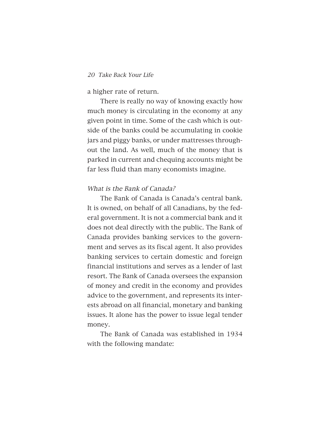#### a higher rate of return.

There is really no way of knowing exactly how much money is circulating in the economy at any given point in time. Some of the cash which is outside of the banks could be accumulating in cookie jars and piggy banks, or under mattresses throughout the land. As well, much of the money that is parked in current and chequing accounts might be far less fluid than many economists imagine.

# What is the Bank of Canada?

The Bank of Canada is Canada's central bank. It is owned, on behalf of all Canadians, by the federal government. It is not a commercial bank and it does not deal directly with the public. The Bank of Canada provides banking services to the government and serves as its fiscal agent. It also provides banking services to certain domestic and foreign financial institutions and serves as a lender of last resort. The Bank of Canada oversees the expansion of money and credit in the economy and provides advice to the government, and represents its interests abroad on all financial, monetary and banking issues. It alone has the power to issue legal tender money.

The Bank of Canada was established in 1934 with the following mandate: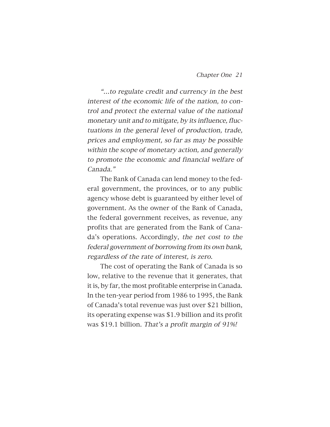"…to regulate credit and currency in the best interest of the economic life of the nation, to control and protect the external value of the national monetary unit and to mitigate, by its influence, fluctuations in the general level of production, trade, prices and employment, so far as may be possible within the scope of monetary action, and generally to promote the economic and financial welfare of Canada."

The Bank of Canada can lend money to the federal government, the provinces, or to any public agency whose debt is guaranteed by either level of government. As the owner of the Bank of Canada, the federal government receives, as revenue, any profits that are generated from the Bank of Canada's operations. Accordingly, the net cost to the federal government of borrowing from its own bank, regardless of the rate of interest, is zero.

The cost of operating the Bank of Canada is so low, relative to the revenue that it generates, that it is, by far, the most profitable enterprise in Canada. In the ten-year period from 1986 to 1995, the Bank of Canada's total revenue was just over \$21 billion, its operating expense was \$1.9 billion and its profit was \$19.1 billion. That's a profit margin of 91%!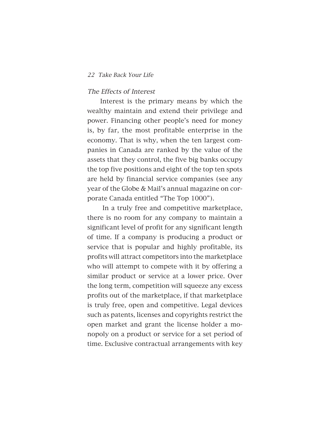#### The Effects of Interest

Interest is the primary means by which the wealthy maintain and extend their privilege and power. Financing other people's need for money is, by far, the most profitable enterprise in the economy. That is why, when the ten largest companies in Canada are ranked by the value of the assets that they control, the five big banks occupy the top five positions and eight of the top ten spots are held by financial service companies (see any year of the Globe & Mail's annual magazine on corporate Canada entitled "The Top 1000").

In a truly free and competitive marketplace, there is no room for any company to maintain a significant level of profit for any significant length of time. If a company is producing a product or service that is popular and highly profitable, its profits will attract competitors into the marketplace who will attempt to compete with it by offering a similar product or service at a lower price. Over the long term, competition will squeeze any excess profits out of the marketplace, if that marketplace is truly free, open and competitive. Legal devices such as patents, licenses and copyrights restrict the open market and grant the license holder a monopoly on a product or service for a set period of time. Exclusive contractual arrangements with key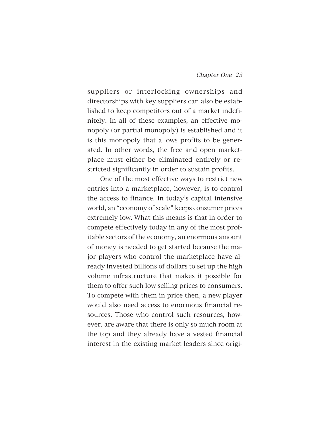suppliers or interlocking ownerships and directorships with key suppliers can also be established to keep competitors out of a market indefinitely. In all of these examples, an effective monopoly (or partial monopoly) is established and it is this monopoly that allows profits to be generated. In other words, the free and open marketplace must either be eliminated entirely or restricted significantly in order to sustain profits.

One of the most effective ways to restrict new entries into a marketplace, however, is to control the access to finance. In today's capital intensive world, an "economy of scale" keeps consumer prices extremely low. What this means is that in order to compete effectively today in any of the most profitable sectors of the economy, an enormous amount of money is needed to get started because the major players who control the marketplace have already invested billions of dollars to set up the high volume infrastructure that makes it possible for them to offer such low selling prices to consumers. To compete with them in price then, a new player would also need access to enormous financial resources. Those who control such resources, however, are aware that there is only so much room at the top and they already have a vested financial interest in the existing market leaders since origi-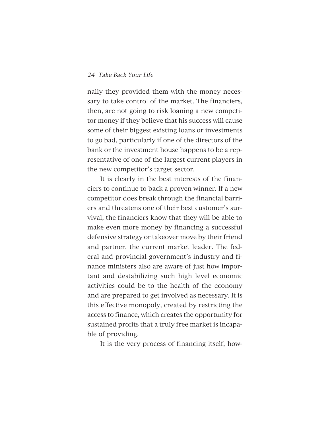nally they provided them with the money necessary to take control of the market. The financiers, then, are not going to risk loaning a new competitor money if they believe that his success will cause some of their biggest existing loans or investments to go bad, particularly if one of the directors of the bank or the investment house happens to be a representative of one of the largest current players in the new competitor's target sector.

It is clearly in the best interests of the financiers to continue to back a proven winner. If a new competitor does break through the financial barriers and threatens one of their best customer's survival, the financiers know that they will be able to make even more money by financing a successful defensive strategy or takeover move by their friend and partner, the current market leader. The federal and provincial government's industry and finance ministers also are aware of just how important and destabilizing such high level economic activities could be to the health of the economy and are prepared to get involved as necessary. It is this effective monopoly, created by restricting the access to finance, which creates the opportunity for sustained profits that a truly free market is incapable of providing.

It is the very process of financing itself, how-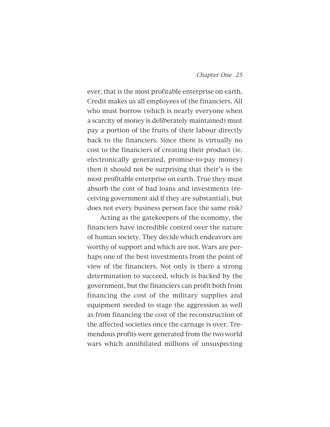ever, that is the most profitable enterprise on earth. Credit makes us all employees of the financiers. All who must borrow (which is nearly everyone when a scarcity of money is deliberately maintained) must pay a portion of the fruits of their labour directly back to the financiers. Since there is virtually no cost to the financiers of creating their product (ie. electronically generated, promise-to-pay money) then it should not be surprising that their's is the most profitable enterprise on earth. True they must absorb the cost of bad loans and investments (receiving government aid if they are substantial), but does not every business person face the same risk?

Acting as the gatekeepers of the economy, the financiers have incredible control over the nature of human society. They decide which endeavors are worthy of support and which are not. Wars are perhaps one of the best investments from the point of view of the financiers. Not only is there a strong determination to succeed, which is backed by the government, but the financiers can profit both from financing the cost of the military supplies and equipment needed to stage the aggression as well as from financing the cost of the reconstruction of the affected societies once the carnage is over. Tremendous profits were generated from the two world wars which annihilated millions of unsuspecting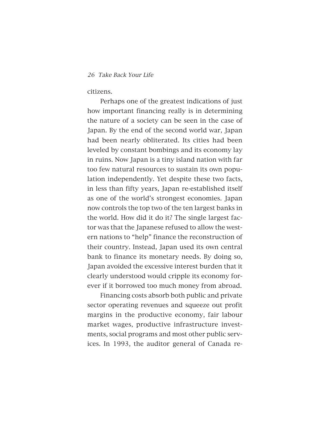citizens.

Perhaps one of the greatest indications of just how important financing really is in determining the nature of a society can be seen in the case of Japan. By the end of the second world war, Japan had been nearly obliterated. Its cities had been leveled by constant bombings and its economy lay in ruins. Now Japan is a tiny island nation with far too few natural resources to sustain its own population independently. Yet despite these two facts, in less than fifty years, Japan re-established itself as one of the world's strongest economies. Japan now controls the top two of the ten largest banks in the world. How did it do it? The single largest factor was that the Japanese refused to allow the western nations to "help" finance the reconstruction of their country. Instead, Japan used its own central bank to finance its monetary needs. By doing so, Japan avoided the excessive interest burden that it clearly understood would cripple its economy forever if it borrowed too much money from abroad.

Financing costs absorb both public and private sector operating revenues and squeeze out profit margins in the productive economy, fair labour market wages, productive infrastructure investments, social programs and most other public services. In 1993, the auditor general of Canada re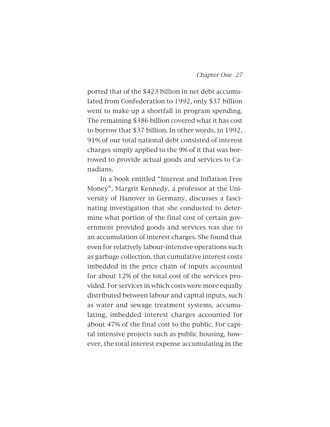ported that of the \$423 billion in net debt accumulated from Confederation to 1992, only \$37 billion went to make up a shortfall in program spending. The remaining \$386 billion covered what it has cost to borrow that \$37 billion. In other words, in 1992, 91% of our total national debt consisted of interest charges simply applied to the 9% of it that was borrowed to provide actual goods and services to Canadians.

In a book entitled "Interest and Inflation Free Money", Margrit Kennedy, a professor at the University of Hanover in Germany, discusses a fascinating investigation that she conducted to determine what portion of the final cost of certain government provided goods and services was due to an accumulation of interest charges. She found that even for relatively labour-intensive operations such as garbage collection, that cumulative interest costs imbedded in the price chain of inputs accounted for about 12% of the total cost of the services provided. For services in which costs were more equally distributed between labour and capital inputs, such as water and sewage treatment systems, accumulating, imbedded interest charges accounted for about 47% of the final cost to the public. For capital intensive projects such as public housing, however, the total interest expense accumulating in the